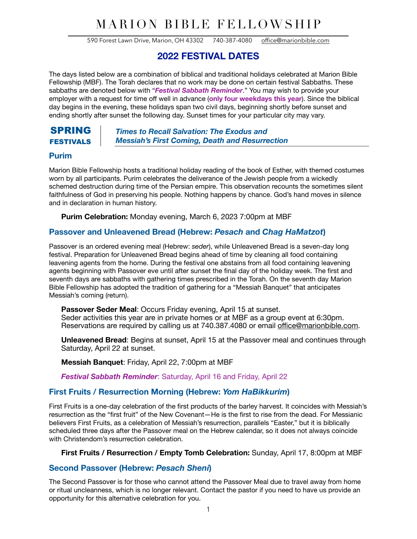# MARION BIBLE FELLOWSHIP

590 Forest Lawn Drive, Marion, OH 43302 740-387-4080 [office@marionbible.com](mailto:office@marionbible.com)

# **2022 FESTIVAL DATES**

The days listed below are a combination of biblical and traditional holidays celebrated at Marion Bible Fellowship (MBF). The Torah declares that no work may be done on certain festival Sabbaths. These sabbaths are denoted below with "*Festival Sabbath Reminder*." You may wish to provide your employer with a request for time off well in advance (**only four weekdays this year**). Since the biblical day begins in the evening, these holidays span two civil days, beginning shortly before sunset and ending shortly after sunset the following day. Sunset times for your particular city may vary.

### SPRING FESTIVALS

*Times to Recall Salvation: The Exodus and Messiah's First Coming, Death and Resurrection* 

## **Purim**

Marion Bible Fellowship hosts a traditional holiday reading of the book of Esther, with themed costumes worn by all participants. Purim celebrates the deliverance of the Jewish people from a wickedly schemed destruction during time of the Persian empire. This observation recounts the sometimes silent faithfulness of God in preserving his people. Nothing happens by chance. God's hand moves in silence and in declaration in human history.

**Purim Celebration:** Monday evening, March 6, 2023 7:00pm at MBF

# **Passover and Unleavened Bread (Hebrew:** *Pesach* **and** *Chag HaMatzot***)**

Passover is an ordered evening meal (Hebrew: *seder*), while Unleavened Bread is a seven-day long festival. Preparation for Unleavened Bread begins ahead of time by cleaning all food containing leavening agents from the home. During the festival one abstains from all food containing leavening agents beginning with Passover eve until after sunset the final day of the holiday week. The first and seventh days are sabbaths with gathering times prescribed in the Torah. On the seventh day Marion Bible Fellowship has adopted the tradition of gathering for a "Messiah Banquet" that anticipates Messiah's coming (return).

**Passover Seder Meal**: Occurs Friday evening, April 15 at sunset. Seder activities this year are in private homes or at MBF as a group event at 6:30pm. Reservations are required by calling us at 740.387.4080 or email offi[ce@marionbible.com.](mailto:office@marionbible.com)

**Unleavened Bread**: Begins at sunset, April 15 at the Passover meal and continues through Saturday, April 22 at sunset.

**Messiah Banquet**: Friday, April 22, 7:00pm at MBF

*Festival Sabbath Reminder*: Saturday, April 16 and Friday, April 22

# **First Fruits / Resurrection Morning (Hebrew:** *Yom HaBikkurim***)**

First Fruits is a one-day celebration of the first products of the barley harvest. It coincides with Messiah's resurrection as the "first fruit" of the New Covenant—He is the first to rise from the dead. For Messianic believers First Fruits, as a celebration of Messiah's resurrection, parallels "Easter," but it is biblically scheduled three days after the Passover meal on the Hebrew calendar, so it does not always coincide with Christendom's resurrection celebration.

#### **First Fruits / Resurrection / Empty Tomb Celebration:** Sunday, April 17, 8:00pm at MBF

#### **Second Passover (Hebrew:** *Pesach Sheni***)**

The Second Passover is for those who cannot attend the Passover Meal due to travel away from home or ritual uncleanness, which is no longer relevant. Contact the pastor if you need to have us provide an opportunity for this alternative celebration for you.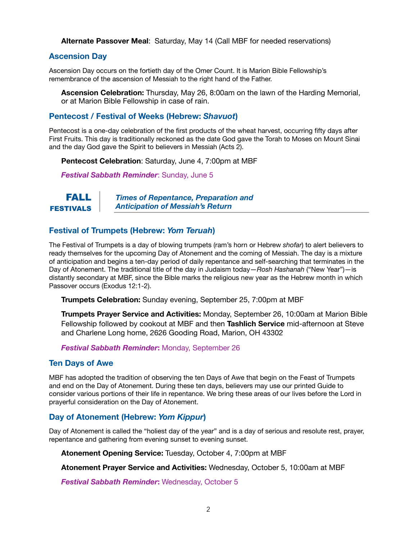**Alternate Passover Meal**: Saturday, May 14 (Call MBF for needed reservations)

### **Ascension Day**

Ascension Day occurs on the fortieth day of the Omer Count. It is Marion Bible Fellowship's remembrance of the ascension of Messiah to the right hand of the Father.

**Ascension Celebration:** Thursday, May 26, 8:00am on the lawn of the Harding Memorial, or at Marion Bible Fellowship in case of rain.

### **Pentecost / Festival of Weeks (Hebrew:** *Shavuot***)**

Pentecost is a one-day celebration of the first products of the wheat harvest, occurring fifty days after First Fruits. This day is traditionally reckoned as the date God gave the Torah to Moses on Mount Sinai and the day God gave the Spirit to believers in Messiah (Acts 2).

**Pentecost Celebration**: Saturday, June 4, 7:00pm at MBF

*Festival Sabbath Reminder*: Sunday, June 5

#### *Times of Repentance, Preparation and Anticipation of Messiah's Return* FALL FESTIVALS

# **Festival of Trumpets (Hebrew:** *Yom Teruah***)**

The Festival of Trumpets is a day of blowing trumpets (ram's horn or Hebrew *shofar*) to alert believers to ready themselves for the upcoming Day of Atonement and the coming of Messiah. The day is a mixture of anticipation and begins a ten-day period of daily repentance and self-searching that terminates in the Day of Atonement. The traditional title of the day in Judaism today—*Rosh Hashanah* ("New Year")—is distantly secondary at MBF, since the Bible marks the religious new year as the Hebrew month in which Passover occurs (Exodus 12:1-2).

**Trumpets Celebration:** Sunday evening, September 25, 7:00pm at MBF

**Trumpets Prayer Service and Activities:** Monday, September 26, 10:00am at Marion Bible Fellowship followed by cookout at MBF and then **Tashlich Service** mid-afternoon at Steve and Charlene Long home, 2626 Gooding Road, Marion, OH 43302

#### *Festival Sabbath Reminder***:** Monday, September 26

#### **Ten Days of Awe**

MBF has adopted the tradition of observing the ten Days of Awe that begin on the Feast of Trumpets and end on the Day of Atonement. During these ten days, believers may use our printed Guide to consider various portions of their life in repentance. We bring these areas of our lives before the Lord in prayerful consideration on the Day of Atonement.

#### **Day of Atonement (Hebrew:** *Yom Kippur***)**

Day of Atonement is called the "holiest day of the year" and is a day of serious and resolute rest, prayer, repentance and gathering from evening sunset to evening sunset.

**Atonement Opening Service:** Tuesday, October 4, 7:00pm at MBF

**Atonement Prayer Service and Activities:** Wednesday, October 5, 10:00am at MBF

*Festival Sabbath Reminder***:** Wednesday, October 5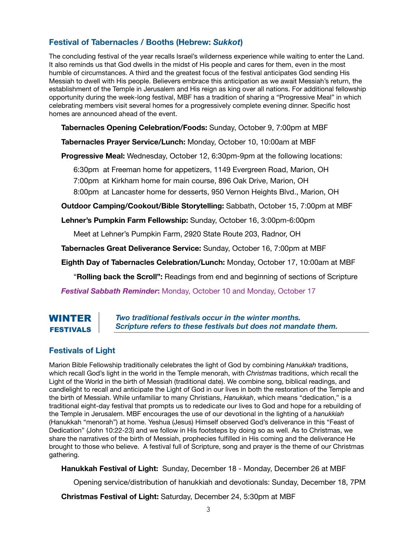# **Festival of Tabernacles / Booths (Hebrew:** *Sukkot***)**

The concluding festival of the year recalls Israel's wilderness experience while waiting to enter the Land. It also reminds us that God dwells in the midst of His people and cares for them, even in the most humble of circumstances. A third and the greatest focus of the festival anticipates God sending His Messiah to dwell with His people. Believers embrace this anticipation as we await Messiah's return, the establishment of the Temple in Jerusalem and His reign as king over all nations. For additional fellowship opportunity during the week-long festival, MBF has a tradition of sharing a "Progressive Meal" in which celebrating members visit several homes for a progressively complete evening dinner. Specific host homes are announced ahead of the event.

**Tabernacles Opening Celebration/Foods:** Sunday, October 9, 7:00pm at MBF

**Tabernacles Prayer Service/Lunch:** Monday, October 10, 10:00am at MBF

**Progressive Meal:** Wednesday, October 12, 6:30pm-9pm at the following locations:

6:30pm at Freeman home for appetizers, 1149 Evergreen Road, Marion, OH

7:00pm at Kirkham home for main course, 896 Oak Drive, Marion, OH

8:00pm at Lancaster home for desserts, 950 Vernon Heights Blvd., Marion, OH

**Outdoor Camping/Cookout/Bible Storytelling:** Sabbath, October 15, 7:00pm at MBF

**Lehner's Pumpkin Farm Fellowship:** Sunday, October 16, 3:00pm-6:00pm

Meet at Lehner's Pumpkin Farm, 2920 State Route 203, Radnor, OH

**Tabernacles Great Deliverance Service:** Sunday, October 16, 7:00pm at MBF

**Eighth Day of Tabernacles Celebration/Lunch:** Monday, October 17, 10:00am at MBF

"**Rolling back the Scroll":** Readings from end and beginning of sections of Scripture

*Festival Sabbath Reminder***:** Monday, October 10 and Monday, October 17

# WINTER FESTIVALS

*Two traditional festivals occur in the winter months. Scripture refers to these festivals but does not mandate them.*

# **Festivals of Light**

Marion Bible Fellowship traditionally celebrates the light of God by combining *Hanukkah* traditions, which recall God's light in the world in the Temple menorah, with *Christmas* traditions, which recall the Light of the World in the birth of Messiah (traditional date). We combine song, biblical readings, and candlelight to recall and anticipate the Light of God in our lives in both the restoration of the Temple and the birth of Messiah. While unfamiliar to many Christians, *Hanukkah*, which means "dedication," is a traditional eight-day festival that prompts us to rededicate our lives to God and hope for a rebuilding of the Temple in Jerusalem. MBF encourages the use of our devotional in the lighting of a *hanukkiah* (Hanukkah "menorah") at home. Yeshua (Jesus) Himself observed God's deliverance in this "Feast of Dedication" (John 10:22-23) and we follow in His footsteps by doing so as well. As to Christmas, we share the narratives of the birth of Messiah, prophecies fulfilled in His coming and the deliverance He brought to those who believe. A festival full of Scripture, song and prayer is the theme of our Christmas gathering.

**Hanukkah Festival of Light:** Sunday, December 18 - Monday, December 26 at MBF

Opening service/distribution of hanukkiah and devotionals: Sunday, December 18, 7PM

**Christmas Festival of Light:** Saturday, December 24, 5:30pm at MBF